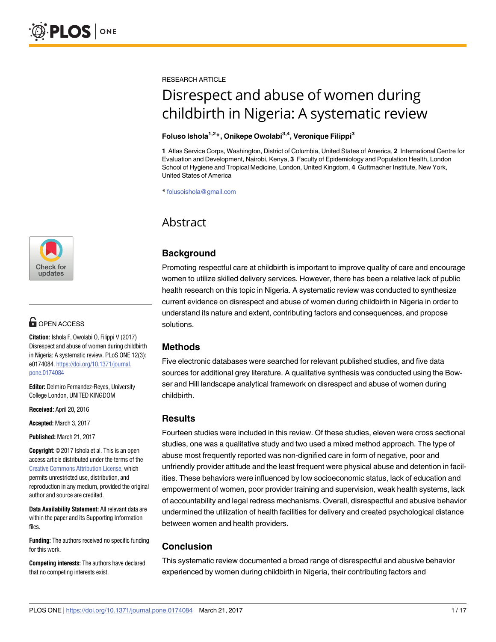

# **G** OPEN ACCESS

**Citation:** Ishola F, Owolabi O, Filippi V (2017) Disrespect and abuse of women during childbirth in Nigeria: A systematic review. PLoS ONE 12(3): e0174084. [https://doi.org/10.1371/journal.](https://doi.org/10.1371/journal.pone.0174084) [pone.0174084](https://doi.org/10.1371/journal.pone.0174084)

**Editor:** Delmiro Fernandez-Reyes, University College London, UNITED KINGDOM

**Received:** April 20, 2016

**Accepted:** March 3, 2017

**Published:** March 21, 2017

**Copyright:** © 2017 Ishola et al. This is an open access article distributed under the terms of the Creative Commons [Attribution](http://creativecommons.org/licenses/by/4.0/) License, which permits unrestricted use, distribution, and reproduction in any medium, provided the original author and source are credited.

**Data Availability Statement:** All relevant data are within the paper and its Supporting Information files.

**Funding:** The authors received no specific funding for this work.

**Competing interests:** The authors have declared that no competing interests exist.

RESEARCH ARTICLE

# Disrespect and abuse of women during childbirth in Nigeria: A systematic review

#### **Foluso Ishola1,2\*, Onikepe Owolabi3,4, Veronique Filippi3**

**1** Atlas Service Corps, Washington, District of Columbia, United States of America, **2** International Centre for Evaluation and Development, Nairobi, Kenya, **3** Faculty of Epidemiology and Population Health, London School of Hygiene and Tropical Medicine, London, United Kingdom, **4** Guttmacher Institute, New York, United States of America

\* folusoishola@gmail.com

# Abstract

# **Background**

Promoting respectful care at childbirth is important to improve quality of care and encourage women to utilize skilled delivery services. However, there has been a relative lack of public health research on this topic in Nigeria. A systematic review was conducted to synthesize current evidence on disrespect and abuse of women during childbirth in Nigeria in order to understand its nature and extent, contributing factors and consequences, and propose solutions.

#### **Methods**

Five electronic databases were searched for relevant published studies, and five data sources for additional grey literature. A qualitative synthesis was conducted using the Bowser and Hill landscape analytical framework on disrespect and abuse of women during childbirth.

#### **Results**

Fourteen studies were included in this review. Of these studies, eleven were cross sectional studies, one was a qualitative study and two used a mixed method approach. The type of abuse most frequently reported was non-dignified care in form of negative, poor and unfriendly provider attitude and the least frequent were physical abuse and detention in facilities. These behaviors were influenced by low socioeconomic status, lack of education and empowerment of women, poor provider training and supervision, weak health systems, lack of accountability and legal redress mechanisms. Overall, disrespectful and abusive behavior undermined the utilization of health facilities for delivery and created psychological distance between women and health providers.

# **Conclusion**

This systematic review documented a broad range of disrespectful and abusive behavior experienced by women during childbirth in Nigeria, their contributing factors and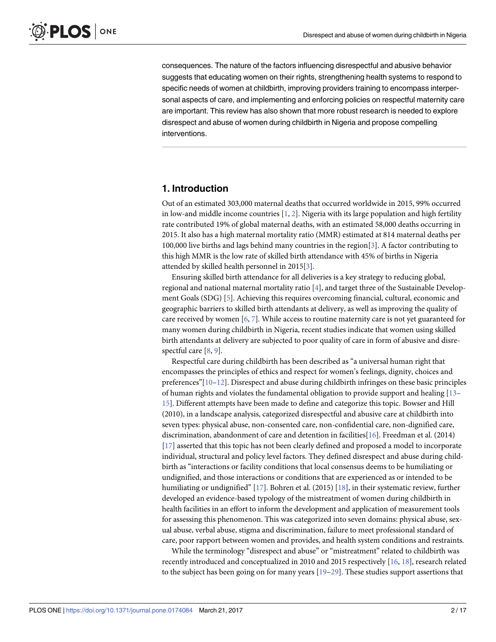<span id="page-1-0"></span>consequences. The nature of the factors influencing disrespectful and abusive behavior suggests that educating women on their rights, strengthening health systems to respond to specific needs of women at childbirth, improving providers training to encompass interpersonal aspects of care, and implementing and enforcing policies on respectful maternity care are important. This review has also shown that more robust research is needed to explore disrespect and abuse of women during childbirth in Nigeria and propose compelling interventions.

#### **1. Introduction**

Out of an estimated 303,000 maternal deaths that occurred worldwide in 2015, 99% occurred in low-and middle income countries  $[1, 2]$  $[1, 2]$  $[1, 2]$  $[1, 2]$ . Nigeria with its large population and high fertility rate contributed 19% of global maternal deaths, with an estimated 58,000 deaths occurring in 2015. It also has a high maternal mortality ratio (MMR) estimated at 814 maternal deaths per 100,000 live births and lags behind many countries in the region[[3\]](#page-13-0). A factor contributing to this high MMR is the low rate of skilled birth attendance with 45% of births in Nigeria attended by skilled health personnel in 2015[[3\]](#page-13-0).

Ensuring skilled birth attendance for all deliveries is a key strategy to reducing global, regional and national maternal mortality ratio [[4](#page-13-0)], and target three of the Sustainable Development Goals (SDG) [[5](#page-14-0)]. Achieving this requires overcoming financial, cultural, economic and geographic barriers to skilled birth attendants at delivery, as well as improving the quality of care received by women  $[6, 7]$  $[6, 7]$  $[6, 7]$  $[6, 7]$ . While access to routine maternity care is not yet guaranteed for many women during childbirth in Nigeria, recent studies indicate that women using skilled birth attendants at delivery are subjected to poor quality of care in form of abusive and disrespectful care [\[8,](#page-14-0) [9](#page-14-0)].

Respectful care during childbirth has been described as "a universal human right that encompasses the principles of ethics and respect for women's feelings, dignity, choices and preferences"[\[10–12](#page-14-0)]. Disrespect and abuse during childbirth infringes on these basic principles of human rights and violates the fundamental obligation to provide support and healing [\[13–](#page-14-0) [15\]](#page-14-0). Different attempts have been made to define and categorize this topic. Bowser and Hill (2010), in a landscape analysis, categorized disrespectful and abusive care at childbirth into seven types: physical abuse, non-consented care, non-confidential care, non-dignified care, discrimination, abandonment of care and detention in facilities[[16\]](#page-14-0). Freedman et al. (2014) [\[17\]](#page-14-0) asserted that this topic has not been clearly defined and proposed a model to incorporate individual, structural and policy level factors. They defined disrespect and abuse during childbirth as "interactions or facility conditions that local consensus deems to be humiliating or undignified, and those interactions or conditions that are experienced as or intended to be humiliating or undignified" [[17](#page-14-0)]. Bohren et al. (2015) [\[18\]](#page-14-0), in their systematic review, further developed an evidence-based typology of the mistreatment of women during childbirth in health facilities in an effort to inform the development and application of measurement tools for assessing this phenomenon. This was categorized into seven domains: physical abuse, sexual abuse, verbal abuse, stigma and discrimination, failure to meet professional standard of care, poor rapport between women and provides, and health system conditions and restraints.

While the terminology "disrespect and abuse" or "mistreatment" related to childbirth was recently introduced and conceptualized in 2010 and 2015 respectively [[16](#page-14-0), [18](#page-14-0)], research related to the subject has been going on for many years  $[19-29]$  $[19-29]$  $[19-29]$  $[19-29]$  $[19-29]$ . These studies support assertions that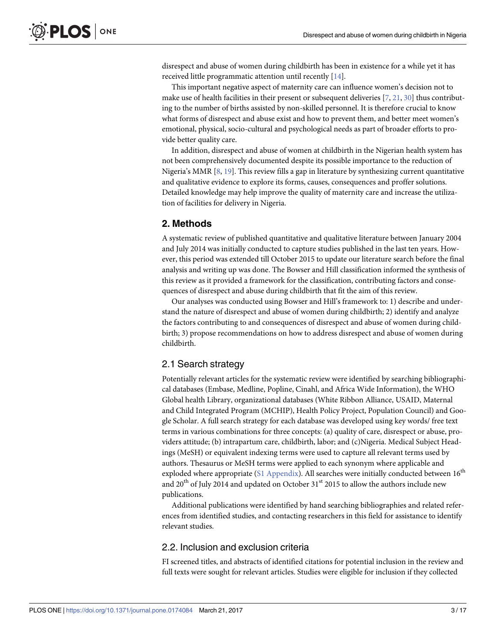<span id="page-2-0"></span>disrespect and abuse of women during childbirth has been in existence for a while yet it has received little programmatic attention until recently [[14](#page-14-0)].

This important negative aspect of maternity care can influence women's decision not to make use of health facilities in their present or subsequent deliveries [\[7](#page-14-0), [21](#page-14-0), [30](#page-15-0)] thus contributing to the number of births assisted by non-skilled personnel. It is therefore crucial to know what forms of disrespect and abuse exist and how to prevent them, and better meet women's emotional, physical, socio-cultural and psychological needs as part of broader efforts to provide better quality care.

In addition, disrespect and abuse of women at childbirth in the Nigerian health system has not been comprehensively documented despite its possible importance to the reduction of Nigeria's MMR  $[8, 19]$  $[8, 19]$  $[8, 19]$ . This review fills a gap in literature by synthesizing current quantitative and qualitative evidence to explore its forms, causes, consequences and proffer solutions. Detailed knowledge may help improve the quality of maternity care and increase the utilization of facilities for delivery in Nigeria.

#### **2. Methods**

A systematic review of published quantitative and qualitative literature between January 2004 and July 2014 was initially conducted to capture studies published in the last ten years. However, this period was extended till October 2015 to update our literature search before the final analysis and writing up was done. The Bowser and Hill classification informed the synthesis of this review as it provided a framework for the classification, contributing factors and consequences of disrespect and abuse during childbirth that fit the aim of this review.

Our analyses was conducted using Bowser and Hill's framework to: 1) describe and understand the nature of disrespect and abuse of women during childbirth; 2) identify and analyze the factors contributing to and consequences of disrespect and abuse of women during childbirth; 3) propose recommendations on how to address disrespect and abuse of women during childbirth.

#### 2.1 Search strategy

Potentially relevant articles for the systematic review were identified by searching bibliographical databases (Embase, Medline, Popline, Cinahl, and Africa Wide Information), the WHO Global health Library, organizational databases (White Ribbon Alliance, USAID, Maternal and Child Integrated Program (MCHIP), Health Policy Project, Population Council) and Google Scholar. A full search strategy for each database was developed using key words/ free text terms in various combinations for three concepts: (a) quality of care, disrespect or abuse, providers attitude; (b) intrapartum care, childbirth, labor; and (c)Nigeria. Medical Subject Headings (MeSH) or equivalent indexing terms were used to capture all relevant terms used by authors. Thesaurus or MeSH terms were applied to each synonym where applicable and exploded where appropriate (S1 [Appendix\)](#page-13-0). All searches were initially conducted between 16<sup>th</sup> and  $20<sup>th</sup>$  of July 2014 and updated on October 31<sup>st</sup> 2015 to allow the authors include new publications.

Additional publications were identified by hand searching bibliographies and related references from identified studies, and contacting researchers in this field for assistance to identify relevant studies.

#### 2.2. Inclusion and exclusion criteria

FI screened titles, and abstracts of identified citations for potential inclusion in the review and full texts were sought for relevant articles. Studies were eligible for inclusion if they collected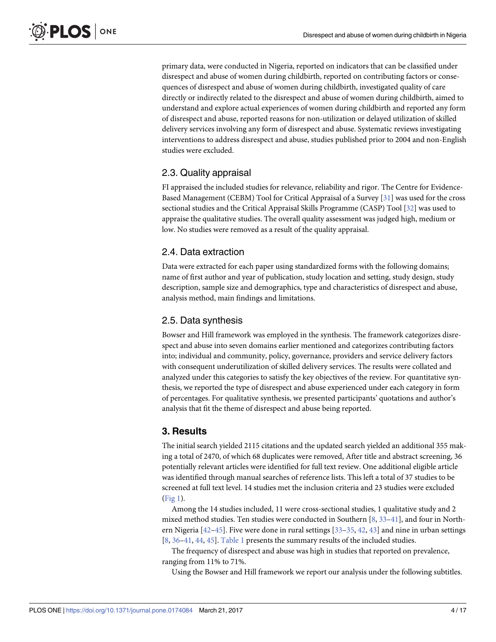<span id="page-3-0"></span>primary data, were conducted in Nigeria, reported on indicators that can be classified under disrespect and abuse of women during childbirth, reported on contributing factors or consequences of disrespect and abuse of women during childbirth, investigated quality of care directly or indirectly related to the disrespect and abuse of women during childbirth, aimed to understand and explore actual experiences of women during childbirth and reported any form of disrespect and abuse, reported reasons for non-utilization or delayed utilization of skilled delivery services involving any form of disrespect and abuse. Systematic reviews investigating interventions to address disrespect and abuse, studies published prior to 2004 and non-English studies were excluded.

#### 2.3. Quality appraisal

FI appraised the included studies for relevance, reliability and rigor. The Centre for Evidence-Based Management (CEBM) Tool for Critical Appraisal of a Survey [\[31\]](#page-15-0) was used for the cross sectional studies and the Critical Appraisal Skills Programme (CASP) Tool [[32](#page-15-0)] was used to appraise the qualitative studies. The overall quality assessment was judged high, medium or low. No studies were removed as a result of the quality appraisal.

# 2.4. Data extraction

Data were extracted for each paper using standardized forms with the following domains; name of first author and year of publication, study location and setting, study design, study description, sample size and demographics, type and characteristics of disrespect and abuse, analysis method, main findings and limitations.

### 2.5. Data synthesis

Bowser and Hill framework was employed in the synthesis. The framework categorizes disrespect and abuse into seven domains earlier mentioned and categorizes contributing factors into; individual and community, policy, governance, providers and service delivery factors with consequent underutilization of skilled delivery services. The results were collated and analyzed under this categories to satisfy the key objectives of the review. For quantitative synthesis, we reported the type of disrespect and abuse experienced under each category in form of percentages. For qualitative synthesis, we presented participants' quotations and author's analysis that fit the theme of disrespect and abuse being reported.

# **3. Results**

The initial search yielded 2115 citations and the updated search yielded an additional 355 making a total of 2470, of which 68 duplicates were removed, After title and abstract screening, 36 potentially relevant articles were identified for full text review. One additional eligible article was identified through manual searches of reference lists. This left a total of 37 studies to be screened at full text level. 14 studies met the inclusion criteria and 23 studies were excluded [\(Fig](#page-4-0) 1).

Among the 14 studies included, 11 were cross-sectional studies, 1 qualitative study and 2 mixed method studies. Ten studies were conducted in Southern [[8,](#page-14-0) [33](#page-15-0)–[41](#page-15-0)], and four in Northern Nigeria [[42](#page-15-0)–[45](#page-15-0)]. Five were done in rural settings [\[33–35](#page-15-0), [42](#page-15-0), [43](#page-15-0)] and nine in urban settings [\[8](#page-14-0), [36–41,](#page-15-0) [44,](#page-15-0) [45\]](#page-15-0). [Table](#page-5-0) 1 presents the summary results of the included studies.

The frequency of disrespect and abuse was high in studies that reported on prevalence, ranging from 11% to 71%.

Using the Bowser and Hill framework we report our analysis under the following subtitles.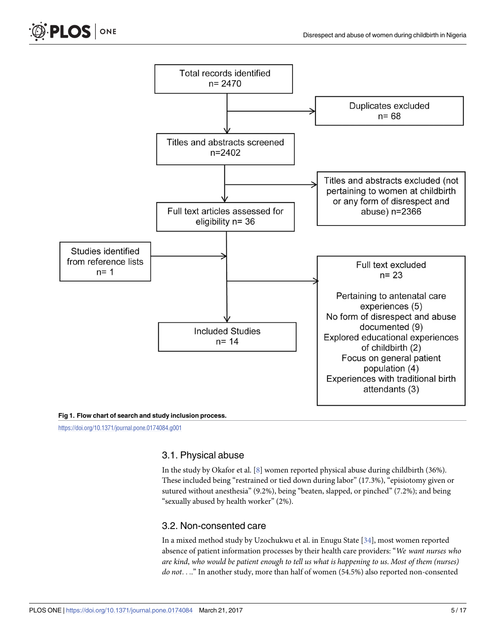<span id="page-4-0"></span>



<https://doi.org/10.1371/journal.pone.0174084.g001>

#### 3.1. Physical abuse

In the study by Okafor et al. [\[8\]](#page-14-0) women reported physical abuse during childbirth (36%). These included being "restrained or tied down during labor" (17.3%), "episiotomy given or sutured without anesthesia" (9.2%), being "beaten, slapped, or pinched" (7.2%); and being "sexually abused by health worker" (2%).

#### 3.2. Non-consented care

In a mixed method study by Uzochukwu et al. in Enugu State [[34](#page-15-0)], most women reported absence of patient information processes by their health care providers: "*We want nurses who* are kind, who would be patient enough to tell us what is happening to us. Most of them (nurses) *do not*. . .." In another study, more than half of women (54.5%) also reported non-consented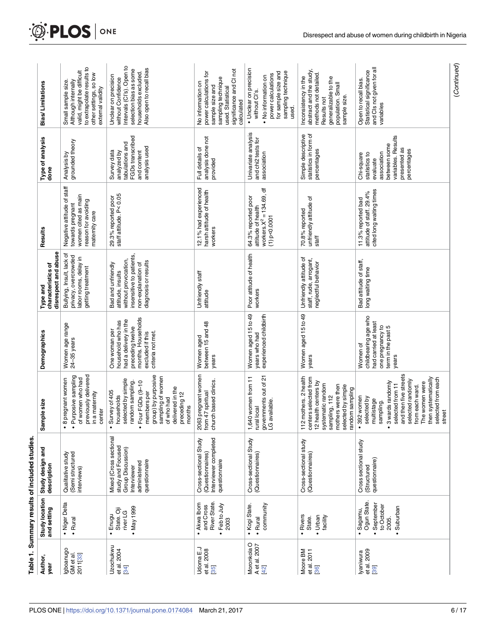<span id="page-5-0"></span>

|                                                                                                                                                                   | Summary results of included studies.<br>and<br>Study design<br>description<br>Study location<br>and setting | mple size<br>ဖိ                                                                                                                                                                                                                          | Demographics                                                                                                                                  | characteristics of<br>Type and                                                                                                            | Results                                                                                                        | Type of analysis<br>done                                                                                                    | <b>Bias/Limitations</b>                                                                                                                              |
|-------------------------------------------------------------------------------------------------------------------------------------------------------------------|-------------------------------------------------------------------------------------------------------------|------------------------------------------------------------------------------------------------------------------------------------------------------------------------------------------------------------------------------------------|-----------------------------------------------------------------------------------------------------------------------------------------------|-------------------------------------------------------------------------------------------------------------------------------------------|----------------------------------------------------------------------------------------------------------------|-----------------------------------------------------------------------------------------------------------------------------|------------------------------------------------------------------------------------------------------------------------------------------------------|
| Qualitative study<br>(Semi structured<br>interviews)<br>• Niger Delta<br>• Rural                                                                                  |                                                                                                             | previously delivered<br>Purposive sampling<br>8 pregnant women<br>of women who had<br>in a maternity<br>center<br>$\bullet$ $\qquad$ $\bullet$                                                                                           | Women age range<br>24-35 years                                                                                                                | disrespect and abuse<br>Bullying, Insult, lack of<br>privacy, overcrowded<br>labor rooms, delay in<br>getting treatment                   | Negative attitude of staff<br>women cited as main<br>reason for avoiding<br>towards pregnant<br>maternity care | grounded theory<br>Analysis by                                                                                              | to extrapolate results to<br>valid, might be difficult<br>other settings, so low<br>Although internally<br>Small sample size<br>external validity    |
| Mixed (Cross sectional<br>study and Focused<br>Group Discussion)<br>questionnaire<br>administered<br>Interviewer<br>• May 1999<br>State. Oji<br>river LG<br>Enugu |                                                                                                             | group) by purposive<br>sampling of women<br>selected by simple<br>Four FGDs (9-10<br>random sampling<br>delivered in the<br>Survey of 405<br>members per<br>preceding 12<br>households<br>of who had<br>months<br>$\bullet$<br>$\bullet$ | months. Households<br>had a delivery in the<br>household who has<br>preceding twelve<br>One woman per<br>excluded if this<br>criteria not met | insensitive to patients,<br>without provocation,<br>diagnosis or results<br>Bad and unfriendly<br>attitude, insults<br>non-explanation of | 29.3% reported poor<br>staff attitude. P< 0.05                                                                 | FGDs transcribed<br>tabulations and<br>analysis used<br>Survey data<br>analyzed by<br>and content                           | Intervals (CI's). Open to<br>Also open to recall bias<br>selection bias as some<br>households excluded<br>Unclear on precision<br>without Confidence |
| Interviewer completed<br>questionnaire<br>Cross-sectional Study<br>(Questionnaires)<br>River State<br>Akwa Ibom<br>Feb to July<br>2003<br>and Cross               |                                                                                                             | $\begin{array}{ l } \hline 2063\text{ pregnant women} \\ \hline \text{from } 47\text{ spiritual} \\ \hline \text{curveth based olinics.} \end{array}$                                                                                    | between 15 and 48<br>Women aged<br>years                                                                                                      | Unfriendly staff<br>attitude                                                                                                              | 12.1% had experienced<br>harsh attitude of health<br>workers                                                   | analysis done not<br>Full details of<br>provided                                                                            | significance and CI not<br>power calculations for<br>sampling technique<br>No information on<br>sample size and<br>used. Statistical<br>calculated   |
| (Questionnaires)<br>community<br>• Kogi State.<br>• Rural                                                                                                         | Cross-sectional Study                                                                                       | governments out of 21<br>LG available.<br>1,640 women from 11<br>rural local                                                                                                                                                             | Women aged 15 to 49<br>experienced childbirth<br>years who had                                                                                | Poor attitude of health<br>workers                                                                                                        | workers. $X^2 = 134.69$ , df<br>64.3% reported poor<br>attitude of health<br>$(1)$ p<0.0001                    | Univariate analysis<br>and chi2 tests for<br>association                                                                    | · Unclear on precision<br>sampling technique<br>for sample size and<br>power calculations<br>. No information on<br>without Cl's.<br>used.           |
| (Questionnaires)<br>Rivers<br>State.                                                                                                                              | Cross-sectional study                                                                                       | 2 mothers. 2 health<br>centers selected from<br>12 health centers by<br>systematic random<br>sampling, 112<br>mothers were then<br>selected by simple<br>random sampling<br>Ξ                                                            | Women aged 15to 49<br>years                                                                                                                   | Unfriendly attitude of<br>staff, rude, arrogant,<br>neglectful behavior                                                                   | unfriendly attitude of<br>70.8% reported<br>staff                                                              | Simple descriptive<br>statistics in form of<br>percentages                                                                  | abstract and the study<br>methods not detailed.<br>Inconsistency in the<br>generalizable to the<br>population. Small<br>sample size.<br>Results not  |
| questionnaire)<br>(Structured<br>Ogun State<br>September<br>to October<br>Suburban<br>Sagamu,                                                                     | Cross sectional study                                                                                       | and then five streets<br>then systematically<br>selected from each<br>selected randomly<br>3 wards randomly<br>The women were<br>selected from 11<br>from each ward.<br>• 392 women<br>selected by<br>multistage<br>sampling.<br>street  | childbearing age who<br>had carried at least<br>one pregnancy to<br>term in the past 5<br>Women of<br>years                                   | Bad attitude of staff,<br>long waiting time                                                                                               | cited long waiting times<br>attitude of staff. 29.4%<br>11.3% reported bad                                     | variables. Results<br>between some<br>presented as<br>percentages<br>association<br>Chi-square<br>statistics to<br>evaluate | and CIs not given for all<br>Statistical significance<br>Open to recall bias.<br>variables                                                           |
|                                                                                                                                                                   |                                                                                                             |                                                                                                                                                                                                                                          |                                                                                                                                               |                                                                                                                                           |                                                                                                                |                                                                                                                             | (Continued)                                                                                                                                          |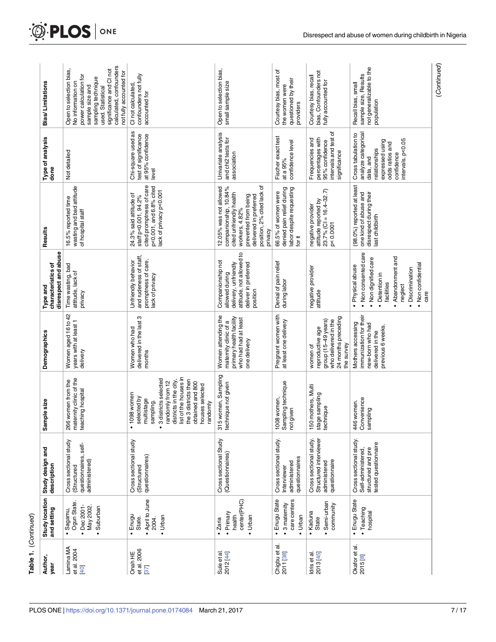<span id="page-6-0"></span>

| Author,<br>year                         | Study location<br>and setting                                  | Study design and<br>description                                                            | ample size<br>U)                                                                                                                                                                                                               | Demographics                                                                                                               | disrespect and abuse<br>characteristics of<br>Type and                                                                                                                            | Results                                                                                                                                                                                 | Type of analysis<br>done                                                                                                                          | Bias/Limitations                                                                                                                                                                                                     |
|-----------------------------------------|----------------------------------------------------------------|--------------------------------------------------------------------------------------------|--------------------------------------------------------------------------------------------------------------------------------------------------------------------------------------------------------------------------------|----------------------------------------------------------------------------------------------------------------------------|-----------------------------------------------------------------------------------------------------------------------------------------------------------------------------------|-----------------------------------------------------------------------------------------------------------------------------------------------------------------------------------------|---------------------------------------------------------------------------------------------------------------------------------------------------|----------------------------------------------------------------------------------------------------------------------------------------------------------------------------------------------------------------------|
| Lamina MA<br>et al. 2004<br>[40]        | Ogun State.<br>• Dec 2001-<br>May 2002.<br>Suburban<br>Sagamu, | Cross sectional study<br>questionnaires, self-<br>administered)<br>(Structured             | 266 women from the<br>  maternity clinic of the<br>  teaching hospital                                                                                                                                                         | Women aged 16 to 42<br>years with at least 1<br>delivery                                                                   | Time wasting, bad<br>attitude, lack of<br>privacy                                                                                                                                 | wasting and bad attitude<br>16.5% reported time<br>of hospital staff                                                                                                                    | Not detailed                                                                                                                                      | calculated, confounders<br>significance and CI not<br>Open to selection bias,<br>not fully accounted for<br>power calculation for<br>sampling technique<br>No information on<br>sample size and<br>used. Statistical |
| et al. 2006<br>Onah <sub>HE</sub><br>37 | April to June<br>2004.<br>Enugu<br>• Urban<br>State.           | Cross sectional study<br>questionnaires)<br>(Structured                                    | list of the houses in<br>3 districts selected<br>districts in the city,<br>the 3 districts then<br>randomly from 12<br>obtained and 800<br>houses selected<br>1098 women<br>selected by<br>multistage<br>sampling.<br>randomly | delivered in the last 3<br>Women who had<br>months                                                                         | and rudeness of staff,<br>promptness of care,<br>Unfriendly behavior<br>lack of privacy                                                                                           | cited promptness of care<br>p<0.001, and 6.8% cited<br>ack of privacy p<0.001<br>24.3% said attitude of<br>staff p<0.001, 94.2%                                                         | Chi-square used as<br>test of significance<br>at 95% confidence<br>level                                                                          | confounders not fully<br>CI not calculated<br>accounted for                                                                                                                                                          |
| Sule et al.<br>2012 [44]                | center(PHC)<br>· Primary<br>health<br>· Urban<br>• Zaria       | Cross sectional Study<br>(Questionnaires)                                                  | 315 women, Sampling<br>technique not given                                                                                                                                                                                     | Women attending the<br>primary health facility<br>who had had at least<br>maternity clinic of a<br>one delivery            | attitude, not allowed to<br>Companionship not<br>delivery, unfriendly<br>deliver in preferred<br>allowed during<br>position                                                       | position, 2% cited lack of<br>12.05% was not allowed<br>companionship, 10.84%<br>cited unfriendly health<br>prevented from being<br>delivered in preferred<br>workers, 4.82%<br>privacy | Univariate analysis<br>and chi2 tests for<br>association                                                                                          | Open to selection bias,<br>small sample size                                                                                                                                                                         |
| Chigbu et al.<br>2011 [38]              | · Enugu State<br>care centers<br>• 3 maternity<br>• Urban      | Cross sectional study.<br>questionnaires<br>administered<br>Interviewer                    | Sampling technique<br>not given<br>1008 women                                                                                                                                                                                  | Pregnant women with<br>at least one delivery                                                                               | Denial of pain relief<br>during labor                                                                                                                                             | abor despite requesting<br>denied pain relief during<br>66.5% of women were<br>for it                                                                                                   | Fischer exact test<br>confidence level<br>at a 95%                                                                                                | Courtesy bias, most of<br>questioned by their<br>the women were<br>providers                                                                                                                                         |
| Idris et al.<br>2013 [45]               | Semi-urban<br>community<br>• Kaduna<br>State                   | Cross sectional study.<br>Structured interviewer<br>questionnaire<br>administered          | 150 mothers, Multi<br>stage sampling<br>technique                                                                                                                                                                              | 24 months preceding<br>who delivered in the<br>group $(15-49 \text{ years})$<br>reproductive age<br>the survey<br>women of | negative provider<br>attitude                                                                                                                                                     | $23.7\%$ (CI = 16.4-32.7)<br>attitude reported by<br>negative provider<br>p < 0.0001                                                                                                    | intervals and test of<br>percentages with<br>Frequencies and<br>95% confidence<br>significance                                                    | bias, Confounders not<br>Courtesy bias, recall<br>fully accounted for                                                                                                                                                |
| Okafor et al.<br>2015 [8]               | · Enugu State<br>• Teaching<br>hospital                        | Cross sectional study.<br>structured and pre<br>tested questionnaire<br>Self-administered, | 446 women.<br>Convenience<br>sampling                                                                                                                                                                                          | Mothers accessing<br>immunization for their<br>new-born who had<br>previous 6 weeks.<br>delivered in the                   | Non consented care<br>Abandonment and<br>Non dignified care<br>Non confidential<br>Physical abuse<br>Discrimination<br>Detention in<br>facilities<br>neglect<br>care<br>$\bullet$ | (98.0%) reported at least<br>disrespect during their<br>last childbirth<br>one kind of abuse and                                                                                        | analyze categorical<br>Cross tabulation to<br>intervals. p<0.05<br>expressed using<br>odds ratios and<br>relationships<br>confidence<br>data, and | not generalizable to the<br>sample size, Results<br>Recall bias, small<br>population                                                                                                                                 |
|                                         |                                                                |                                                                                            |                                                                                                                                                                                                                                |                                                                                                                            |                                                                                                                                                                                   |                                                                                                                                                                                         |                                                                                                                                                   | (Continued)                                                                                                                                                                                                          |

Table 1. (Continued) **Table 1.** (Continued)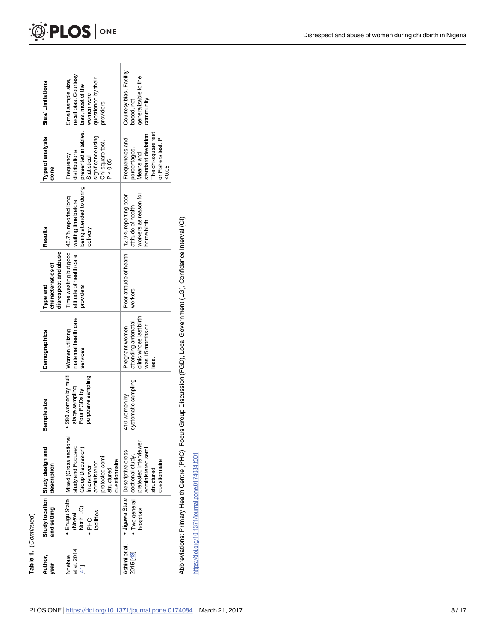| Author,<br>year             | and setting                                                           | Study location Study design and<br>description                                                                                                          | Sample size                                                                                  | Demographics                                                                                  | disrespect and abuse<br>characteristics of<br><b>Type and</b>                       | Results                                                     | Type of analysis<br>done                                                                                                           | Bias/Limitations                                                                                                   |
|-----------------------------|-----------------------------------------------------------------------|---------------------------------------------------------------------------------------------------------------------------------------------------------|----------------------------------------------------------------------------------------------|-----------------------------------------------------------------------------------------------|-------------------------------------------------------------------------------------|-------------------------------------------------------------|------------------------------------------------------------------------------------------------------------------------------------|--------------------------------------------------------------------------------------------------------------------|
| et al. 2014<br>dnebue<br>41 | Enugu State<br>North LG)<br>(Nnewi<br>facilities<br>$\overline{P}$ HC | Mixed (Cross sectional<br>  study and Focused<br>  Group Discussion)<br>  Interviewer<br>pretested semi-<br>questionnaire<br>administered<br>structured | 280 women by multi   Women utilizing<br>purposive sampling<br>stage sampling<br>Four FGDs by | maternal health care<br>services                                                              | Time wasting but good   45.7% reported long<br>attitude of health care<br>providers | being attended to during<br>waiting time before<br>delivery | presented in tables.<br>significance using<br>Chi-square test,<br>distributions<br>Frequency<br><b>Statistical</b><br>$P < 0.05$ . | recall bias. Courtesy<br>questioned by their<br>Small sample size,<br>bias, most of the<br>women were<br>providers |
| Ashimi et al.<br>2015 [43]  | hospitals                                                             | pretested interviewer<br>administered semi<br>Jigawa State   Descriptive cross<br>· Two general sectional study,<br>questionnaire<br>structured         | systematic sampling<br>0 women by<br>4                                                       | clinic whose last birth<br>attending antenatal<br>was 15 months or<br>Pregnant women<br>less. | Poor attitude of health   12.9% reporting poor<br>workers                           | workers as reason for<br>attitude of health<br>home birth   | standard deviation.<br>The chi-square test<br>or Fishers test. P<br>Frequencies and<br>percentages.<br>Means and<br>80.05          | Courtesy bias. Facility<br>generalizable to the<br>community.<br>based, not                                        |
|                             |                                                                       | Abbreviations: Primary Health Centre (PHC), Focus Group Discussion (FGD), Local Government (LG), Confidence Interval (CI)                               |                                                                                              |                                                                                               |                                                                                     |                                                             |                                                                                                                                    |                                                                                                                    |

Abbreviations: Primary Health Centre (PHC), Focus Group Discussion (FGD), Local Government (LG), Confidence Interval (CI)

https://doi.org/10.1371/journal.pone.0174084.t001 <https://doi.org/10.1371/journal.pone.0174084.t001>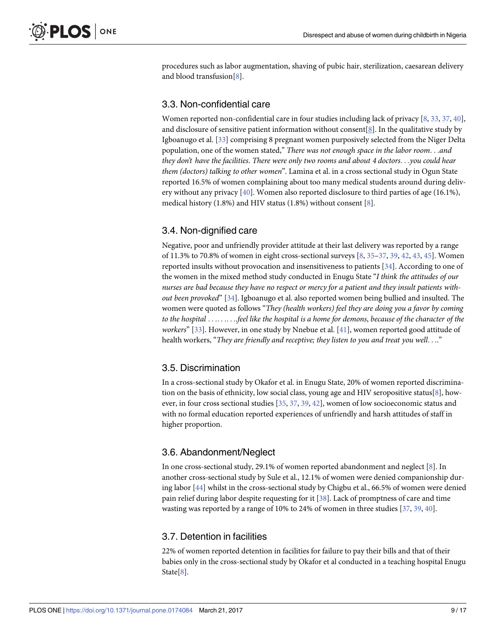procedures such as labor augmentation, shaving of pubic hair, sterilization, caesarean delivery and blood transfusion[[8\]](#page-14-0).

#### 3.3. Non-confidential care

Women reported non-confidential care in four studies including lack of privacy [[8](#page-14-0), [33](#page-15-0), [37](#page-15-0), [40](#page-15-0)], and disclosure of sensitive patient information without consent[ $8$ ]. In the qualitative study by Igboanugo et al. [\[33\]](#page-15-0) comprising 8 pregnant women purposively selected from the Niger Delta population, one of the women stated," *There was not enough space in the labor room*. . .*and they don't have the facilities*. *There were only two rooms and about 4 doctors*. . .*you could hear them (doctors) talking to other women*". Lamina et al. in a cross sectional study in Ogun State reported 16.5% of women complaining about too many medical students around during delivery without any privacy [\[40\]](#page-15-0). Women also reported disclosure to third parties of age (16.1%), medical history (1.8%) and HIV status (1.8%) without consent [[8\]](#page-14-0).

#### 3.4. Non-dignified care

Negative, poor and unfriendly provider attitude at their last delivery was reported by a range of 11.3% to 70.8% of women in eight cross-sectional surveys [[8](#page-14-0), [35](#page-15-0)–[37](#page-15-0), [39](#page-15-0), [42](#page-15-0), [43,](#page-15-0) [45\]](#page-15-0). Women reported insults without provocation and insensitiveness to patients [[34](#page-15-0)]. According to one of the women in the mixed method study conducted in Enugu State "*I think the attitudes of our nurses are bad because they have no respect or mercy for a patient and they insult patients without been provoked*" [\[34\]](#page-15-0). Igboanugo et al. also reported women being bullied and insulted. The women were quoted as follows "*They (health workers) feel they are doing you a favor by coming* to the hospital ..........feel like the hospital is a home for demons, because of the character of the *workers*" [[33](#page-15-0)]. However, in one study by Nnebue et al. [\[41\]](#page-15-0), women reported good attitude of health workers, "*They are friendly and receptive; they listen to you and treat you well*. . .."

#### 3.5. Discrimination

In a cross-sectional study by Okafor et al. in Enugu State, 20% of women reported discrimina-tion on the basis of ethnicity, low social class, young age and HIV seropositive status[\[8\]](#page-14-0), however, in four cross sectional studies [[35](#page-15-0), [37](#page-15-0), [39](#page-15-0), [42](#page-15-0)], women of low socioeconomic status and with no formal education reported experiences of unfriendly and harsh attitudes of staff in higher proportion.

#### 3.6. Abandonment/Neglect

In one cross-sectional study, 29.1% of women reported abandonment and neglect [[8](#page-14-0)]. In another cross-sectional study by Sule et al., 12.1% of women were denied companionship during labor [\[44\]](#page-15-0) whilst in the cross-sectional study by Chigbu et al., 66.5% of women were denied pain relief during labor despite requesting for it [\[38\]](#page-15-0). Lack of promptness of care and time wasting was reported by a range of 10% to 24% of women in three studies [[37](#page-15-0), [39](#page-15-0), [40](#page-15-0)].

#### 3.7. Detention in facilities

22% of women reported detention in facilities for failure to pay their bills and that of their babies only in the cross-sectional study by Okafor et al conducted in a teaching hospital Enugu State[[8](#page-14-0)].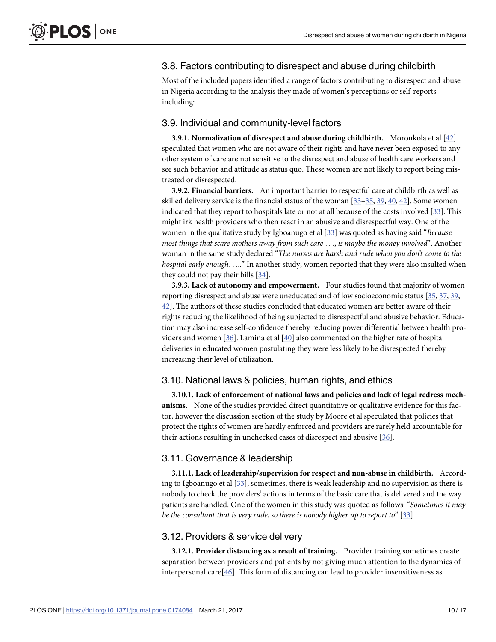#### <span id="page-9-0"></span>3.8. Factors contributing to disrespect and abuse during childbirth

Most of the included papers identified a range of factors contributing to disrespect and abuse in Nigeria according to the analysis they made of women's perceptions or self-reports including:

#### 3.9. Individual and community-level factors

**3.9.1. Normalization of disrespect and abuse during childbirth.** Moronkola et al [[42](#page-15-0)] speculated that women who are not aware of their rights and have never been exposed to any other system of care are not sensitive to the disrespect and abuse of health care workers and see such behavior and attitude as status quo. These women are not likely to report being mistreated or disrespected.

**3.9.2. Financial barriers.** An important barrier to respectful care at childbirth as well as skilled delivery service is the financial status of the woman [[33–35,](#page-15-0) [39,](#page-15-0) [40,](#page-15-0) [42\]](#page-15-0). Some women indicated that they report to hospitals late or not at all because of the costs involved [[33](#page-15-0)]. This might irk health providers who then react in an abusive and disrespectful way. One of the women in the qualitative study by Igboanugo et al [[33](#page-15-0)] was quoted as having said "*Because most things that scare mothers away from such care* . . ., *is maybe the money involved*". Another woman in the same study declared "*The nurses are harsh and rude when you don't come to the hospital early enough*. . ..." In another study, women reported that they were also insulted when they could not pay their bills [[34](#page-15-0)].

**3.9.3. Lack of autonomy and empowerment.** Four studies found that majority of women reporting disrespect and abuse were uneducated and of low socioeconomic status [\[35,](#page-15-0) [37,](#page-15-0) [39,](#page-15-0) [42\]](#page-15-0). The authors of these studies concluded that educated women are better aware of their rights reducing the likelihood of being subjected to disrespectful and abusive behavior. Education may also increase self-confidence thereby reducing power differential between health providers and women [\[36\]](#page-15-0). Lamina et al [[40](#page-15-0)] also commented on the higher rate of hospital deliveries in educated women postulating they were less likely to be disrespected thereby increasing their level of utilization.

#### 3.10. National laws & policies, human rights, and ethics

**3.10.1. Lack of enforcement of national laws and policies and lack of legal redress mechanisms.** None of the studies provided direct quantitative or qualitative evidence for this factor, however the discussion section of the study by Moore et al speculated that policies that protect the rights of women are hardly enforced and providers are rarely held accountable for their actions resulting in unchecked cases of disrespect and abusive [[36](#page-15-0)].

#### 3.11. Governance & leadership

**3.11.1. Lack of leadership/supervision for respect and non-abuse in childbirth.** According to Igboanugo et al [\[33\]](#page-15-0), sometimes, there is weak leadership and no supervision as there is nobody to check the providers' actions in terms of the basic care that is delivered and the way patients are handled. One of the women in this study was quoted as follows: "*Sometimes it may be the consultant that is very rude*, *so there is nobody higher up to report to*" [\[33\]](#page-15-0).

#### 3.12. Providers & service delivery

**3.12.1. Provider distancing as a result of training.** Provider training sometimes create separation between providers and patients by not giving much attention to the dynamics of interpersonal care $[46]$  $[46]$ . This form of distancing can lead to provider insensitiveness as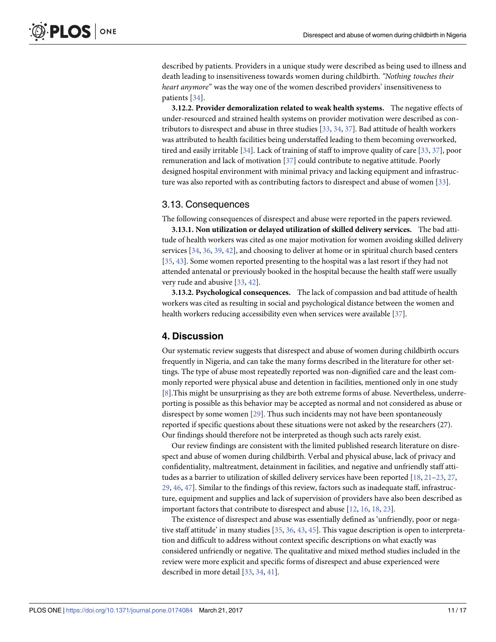<span id="page-10-0"></span>described by patients. Providers in a unique study were described as being used to illness and death leading to insensitiveness towards women during childbirth. *"Nothing touches their heart anymore"* was the way one of the women described providers' insensitiveness to patients [[34\]](#page-15-0).

**3.12.2. Provider demoralization related to weak health systems.** The negative effects of under-resourced and strained health systems on provider motivation were described as contributors to disrespect and abuse in three studies [[33](#page-15-0), [34](#page-15-0), [37](#page-15-0)]. Bad attitude of health workers was attributed to health facilities being understaffed leading to them becoming overworked, tired and easily irritable [[34](#page-15-0)]. Lack of training of staff to improve quality of care [[33](#page-15-0), [37](#page-15-0)], poor remuneration and lack of motivation [[37](#page-15-0)] could contribute to negative attitude. Poorly designed hospital environment with minimal privacy and lacking equipment and infrastructure was also reported with as contributing factors to disrespect and abuse of women [\[33\]](#page-15-0).

#### 3.13. Consequences

The following consequences of disrespect and abuse were reported in the papers reviewed.

**3.13.1. Non utilization or delayed utilization of skilled delivery services.** The bad attitude of health workers was cited as one major motivation for women avoiding skilled delivery services [\[34,](#page-15-0) [36,](#page-15-0) [39,](#page-15-0) [42\]](#page-15-0), and choosing to deliver at home or in spiritual church based centers [\[35,](#page-15-0) [43\]](#page-15-0). Some women reported presenting to the hospital was a last resort if they had not attended antenatal or previously booked in the hospital because the health staff were usually very rude and abusive [[33](#page-15-0), [42](#page-15-0)].

**3.13.2. Psychological consequences.** The lack of compassion and bad attitude of health workers was cited as resulting in social and psychological distance between the women and health workers reducing accessibility even when services were available [[37\]](#page-15-0).

#### **4. Discussion**

Our systematic review suggests that disrespect and abuse of women during childbirth occurs frequently in Nigeria, and can take the many forms described in the literature for other settings. The type of abuse most repeatedly reported was non-dignified care and the least commonly reported were physical abuse and detention in facilities, mentioned only in one study [\[8](#page-14-0)].This might be unsurprising as they are both extreme forms of abuse. Nevertheless, underreporting is possible as this behavior may be accepted as normal and not considered as abuse or disrespect by some women [\[29\]](#page-15-0). Thus such incidents may not have been spontaneously reported if specific questions about these situations were not asked by the researchers (27). Our findings should therefore not be interpreted as though such acts rarely exist.

Our review findings are consistent with the limited published research literature on disrespect and abuse of women during childbirth. Verbal and physical abuse, lack of privacy and confidentiality, maltreatment, detainment in facilities, and negative and unfriendly staff attitudes as a barrier to utilization of skilled delivery services have been reported [[18](#page-14-0), [21](#page-14-0)–[23](#page-14-0), [27](#page-15-0), [29,](#page-15-0) [46](#page-15-0), [47](#page-16-0)]. Similar to the findings of this review, factors such as inadequate staff, infrastructure, equipment and supplies and lack of supervision of providers have also been described as important factors that contribute to disrespect and abuse [\[12,](#page-14-0) [16,](#page-14-0) [18,](#page-14-0) [23\]](#page-14-0).

The existence of disrespect and abuse was essentially defined as 'unfriendly, poor or negative staff attitude' in many studies [\[35,](#page-15-0) [36](#page-15-0), [43](#page-15-0), [45](#page-15-0)]. This vague description is open to interpretation and difficult to address without context specific descriptions on what exactly was considered unfriendly or negative. The qualitative and mixed method studies included in the review were more explicit and specific forms of disrespect and abuse experienced were described in more detail [[33](#page-15-0), [34](#page-15-0), [41](#page-15-0)].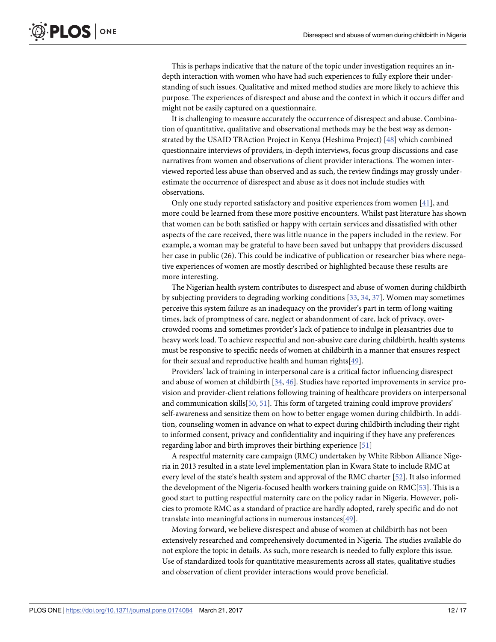<span id="page-11-0"></span>This is perhaps indicative that the nature of the topic under investigation requires an indepth interaction with women who have had such experiences to fully explore their understanding of such issues. Qualitative and mixed method studies are more likely to achieve this purpose. The experiences of disrespect and abuse and the context in which it occurs differ and might not be easily captured on a questionnaire.

It is challenging to measure accurately the occurrence of disrespect and abuse. Combination of quantitative, qualitative and observational methods may be the best way as demonstrated by the USAID TRAction Project in Kenya (Heshima Project) [\[48\]](#page-16-0) which combined questionnaire interviews of providers, in-depth interviews, focus group discussions and case narratives from women and observations of client provider interactions. The women interviewed reported less abuse than observed and as such, the review findings may grossly underestimate the occurrence of disrespect and abuse as it does not include studies with observations.

Only one study reported satisfactory and positive experiences from women [\[41\]](#page-15-0), and more could be learned from these more positive encounters. Whilst past literature has shown that women can be both satisfied or happy with certain services and dissatisfied with other aspects of the care received, there was little nuance in the papers included in the review. For example, a woman may be grateful to have been saved but unhappy that providers discussed her case in public (26). This could be indicative of publication or researcher bias where negative experiences of women are mostly described or highlighted because these results are more interesting.

The Nigerian health system contributes to disrespect and abuse of women during childbirth by subjecting providers to degrading working conditions [[33](#page-15-0), [34,](#page-15-0) [37\]](#page-15-0). Women may sometimes perceive this system failure as an inadequacy on the provider's part in term of long waiting times, lack of promptness of care, neglect or abandonment of care, lack of privacy, overcrowded rooms and sometimes provider's lack of patience to indulge in pleasantries due to heavy work load. To achieve respectful and non-abusive care during childbirth, health systems must be responsive to specific needs of women at childbirth in a manner that ensures respect for their sexual and reproductive health and human rights[[49\]](#page-16-0).

Providers' lack of training in interpersonal care is a critical factor influencing disrespect and abuse of women at childbirth [[34](#page-15-0), [46](#page-15-0)]. Studies have reported improvements in service provision and provider-client relations following training of healthcare providers on interpersonal and communication skills[[50](#page-16-0), [51](#page-16-0)]. This form of targeted training could improve providers' self-awareness and sensitize them on how to better engage women during childbirth. In addition, counseling women in advance on what to expect during childbirth including their right to informed consent, privacy and confidentiality and inquiring if they have any preferences regarding labor and birth improves their birthing experience [[51](#page-16-0)]

A respectful maternity care campaign (RMC) undertaken by White Ribbon Alliance Nigeria in 2013 resulted in a state level implementation plan in Kwara State to include RMC at every level of the state's health system and approval of the RMC charter [[52](#page-16-0)]. It also informed the development of the Nigeria-focused health workers training guide on RMC[\[53\]](#page-16-0). This is a good start to putting respectful maternity care on the policy radar in Nigeria. However, policies to promote RMC as a standard of practice are hardly adopted, rarely specific and do not translate into meaningful actions in numerous instances[[49](#page-16-0)].

Moving forward, we believe disrespect and abuse of women at childbirth has not been extensively researched and comprehensively documented in Nigeria. The studies available do not explore the topic in details. As such, more research is needed to fully explore this issue. Use of standardized tools for quantitative measurements across all states, qualitative studies and observation of client provider interactions would prove beneficial.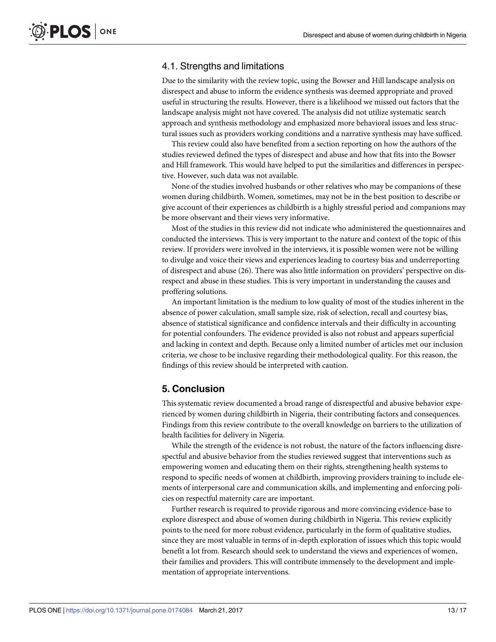#### 4.1. Strengths and limitations

Due to the similarity with the review topic, using the Bowser and Hill landscape analysis on disrespect and abuse to inform the evidence synthesis was deemed appropriate and proved useful in structuring the results. However, there is a likelihood we missed out factors that the landscape analysis might not have covered. The analysis did not utilize systematic search approach and synthesis methodology and emphasized more behavioral issues and less structural issues such as providers working conditions and a narrative synthesis may have sufficed.

This review could also have benefited from a section reporting on how the authors of the studies reviewed defined the types of disrespect and abuse and how that fits into the Bowser and Hill framework. This would have helped to put the similarities and differences in perspective. However, such data was not available.

None of the studies involved husbands or other relatives who may be companions of these women during childbirth. Women, sometimes, may not be in the best position to describe or give account of their experiences as childbirth is a highly stressful period and companions may be more observant and their views very informative.

Most of the studies in this review did not indicate who administered the questionnaires and conducted the interviews. This is very important to the nature and context of the topic of this review. If providers were involved in the interviews, it is possible women were not be willing to divulge and voice their views and experiences leading to courtesy bias and underreporting of disrespect and abuse (26). There was also little information on providers' perspective on disrespect and abuse in these studies. This is very important in understanding the causes and proffering solutions.

An important limitation is the medium to low quality of most of the studies inherent in the absence of power calculation, small sample size, risk of selection, recall and courtesy bias, absence of statistical significance and confidence intervals and their difficulty in accounting for potential confounders. The evidence provided is also not robust and appears superficial and lacking in context and depth. Because only a limited number of articles met our inclusion criteria, we chose to be inclusive regarding their methodological quality. For this reason, the findings of this review should be interpreted with caution.

#### **5. Conclusion**

This systematic review documented a broad range of disrespectful and abusive behavior experienced by women during childbirth in Nigeria, their contributing factors and consequences. Findings from this review contribute to the overall knowledge on barriers to the utilization of health facilities for delivery in Nigeria.

While the strength of the evidence is not robust, the nature of the factors influencing disrespectful and abusive behavior from the studies reviewed suggest that interventions such as empowering women and educating them on their rights, strengthening health systems to respond to specific needs of women at childbirth, improving providers training to include elements of interpersonal care and communication skills, and implementing and enforcing policies on respectful maternity care are important.

Further research is required to provide rigorous and more convincing evidence-base to explore disrespect and abuse of women during childbirth in Nigeria. This review explicitly points to the need for more robust evidence, particularly in the form of qualitative studies, since they are most valuable in terms of in-depth exploration of issues which this topic would benefit a lot from. Research should seek to understand the views and experiences of women, their families and providers. This will contribute immensely to the development and implementation of appropriate interventions.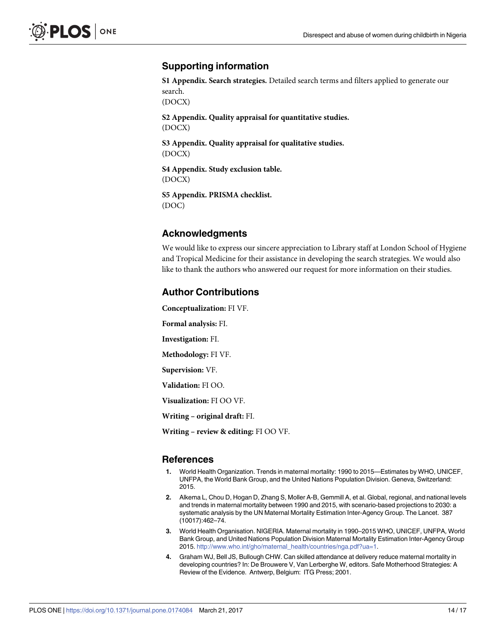#### <span id="page-13-0"></span>**Supporting information**

**S1 [Appendix](http://www.plosone.org/article/fetchSingleRepresentation.action?uri=info:doi/10.1371/journal.pone.0174084.s001). Search strategies.** Detailed search terms and filters applied to generate our search.

(DOCX)

**S2 [Appendix](http://www.plosone.org/article/fetchSingleRepresentation.action?uri=info:doi/10.1371/journal.pone.0174084.s002). Quality appraisal for quantitative studies.** (DOCX)

**S3 [Appendix](http://www.plosone.org/article/fetchSingleRepresentation.action?uri=info:doi/10.1371/journal.pone.0174084.s003). Quality appraisal for qualitative studies.** (DOCX)

**S4 [Appendix](http://www.plosone.org/article/fetchSingleRepresentation.action?uri=info:doi/10.1371/journal.pone.0174084.s004). Study exclusion table.** (DOCX)

**S5 [Appendix](http://www.plosone.org/article/fetchSingleRepresentation.action?uri=info:doi/10.1371/journal.pone.0174084.s005). PRISMA checklist.** (DOC)

#### **Acknowledgments**

We would like to express our sincere appreciation to Library staff at London School of Hygiene and Tropical Medicine for their assistance in developing the search strategies. We would also like to thank the authors who answered our request for more information on their studies.

#### **Author Contributions**

**Conceptualization:** FI VF.

**Formal analysis:** FI.

**Investigation:** FI.

**Methodology:** FI VF.

**Supervision:** VF.

**Validation:** FI OO.

**Visualization:** FI OO VF.

**Writing – original draft:** FI.

**Writing – review & editing:** FI OO VF.

#### **References**

- **[1](#page-1-0).** World Health Organization. Trends in maternal mortality: 1990 to 2015—Estimates by WHO, UNICEF, UNFPA, the World Bank Group, and the United Nations Population Division. Geneva, Switzerland: 2015.
- **[2](#page-1-0).** Alkema L, Chou D, Hogan D, Zhang S, Moller A-B, Gemmill A, et al. Global, regional, and national levels and trends in maternal mortality between 1990 and 2015, with scenario-based projections to 2030: a systematic analysis by the UN Maternal Mortality Estimation Inter-Agency Group. The Lancet. 387 (10017):462–74.
- **[3](#page-1-0).** World Health Organisation. NIGERIA. Maternal mortality in 1990–2015 WHO, UNICEF, UNFPA, World Bank Group, and United Nations Population Division Maternal Mortality Estimation Inter-Agency Group 2015. [http://www.who.int/gho/maternal\\_health/countries/nga.pdf?ua=1](http://www.who.int/gho/maternal_health/countries/nga.pdf?ua=1).
- **[4](#page-1-0).** Graham WJ, Bell JS, Bullough CHW. Can skilled attendance at delivery reduce maternal mortality in developing countries? In: De Brouwere V, Van Lerberghe W, editors. Safe Motherhood Strategies: A Review of the Evidence. Antwerp, Belgium: ITG Press; 2001.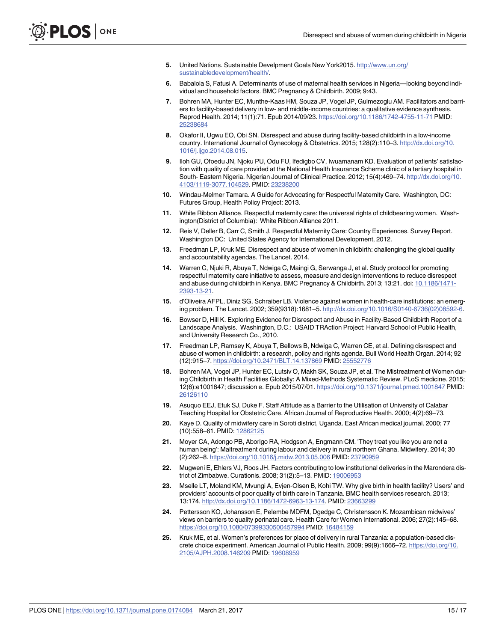- <span id="page-14-0"></span>**[5](#page-1-0).** United Nations. Sustainable Develpment Goals New York2015. [http://www.un.org/](http://www.un.org/sustainabledevelopment/health/) [sustainabledevelopment/health/.](http://www.un.org/sustainabledevelopment/health/)
- **[6](#page-1-0).** Babalola S, Fatusi A. Determinants of use of maternal health services in Nigeria—looking beyond individual and household factors. BMC Pregnancy & Childbirth. 2009; 9:43.
- **[7](#page-1-0).** Bohren MA, Hunter EC, Munthe-Kaas HM, Souza JP, Vogel JP, Gulmezoglu AM. Facilitators and barriers to facility-based delivery in low- and middle-income countries: a qualitative evidence synthesis. Reprod Health. 2014; 11(1):71. Epub 2014/09/23. <https://doi.org/10.1186/1742-4755-11-71> PMID: [25238684](http://www.ncbi.nlm.nih.gov/pubmed/25238684)
- **[8](#page-1-0).** Okafor II, Ugwu EO, Obi SN. Disrespect and abuse during facility-based childbirth in a low-income country. International Journal of Gynecology & Obstetrics. 2015; 128(2):110–3. [http://dx.doi.org/10.](http://dx.doi.org/10.1016/j.ijgo.2014.08.015) [1016/j.ijgo.2014.08.015](http://dx.doi.org/10.1016/j.ijgo.2014.08.015).
- **[9](#page-1-0).** Iloh GU, Ofoedu JN, Njoku PU, Odu FU, Ifedigbo CV, Iwuamanam KD. Evaluation of patients' satisfaction with quality of care provided at the National Health Insurance Scheme clinic of a tertiary hospital in South- Eastern Nigeria. Nigerian Journal of Clinical Practice. 2012; 15(4):469–74. [http://dx.doi.org/10.](http://dx.doi.org/10.4103/1119-3077.104529) [4103/1119-3077.104529](http://dx.doi.org/10.4103/1119-3077.104529). PMID: [23238200](http://www.ncbi.nlm.nih.gov/pubmed/23238200)
- **[10](#page-1-0).** Windau-Melmer Tamara. A Guide for Advocating for Respectful Maternity Care. Washington, DC: Futures Group, Health Policy Project: 2013.
- **11.** White Ribbon Alliance. Respectful maternity care: the universal rights of childbearing women. Washington(District of Columbia): White Ribbon Alliance 2011.
- **[12](#page-1-0).** Reis V, Deller B, Carr C, Smith J. Respectful Maternity Care: Country Experiences. Survey Report. Washington DC: United States Agency for International Development, 2012.
- **[13](#page-1-0).** Freedman LP, Kruk ME. Disrespect and abuse of women in childbirth: challenging the global quality and accountability agendas. The Lancet. 2014.
- **[14](#page-2-0).** Warren C, Njuki R, Abuya T, Ndwiga C, Maingi G, Serwanga J, et al. Study protocol for promoting respectful maternity care initiative to assess, measure and design interventions to reduce disrespect and abuse during childbirth in Kenya. BMC Pregnancy & Childbirth. 2013; 13:21. doi: [10.1186/1471-](http://dx.doi.org/10.1186/1471-2393-13-21) [2393-13-21.](http://dx.doi.org/10.1186/1471-2393-13-21)
- **[15](#page-1-0).** d'Oliveira AFPL, Diniz SG, Schraiber LB. Violence against women in health-care institutions: an emerging problem. The Lancet. 2002; 359(9318):1681–5. [http://dx.doi.org/10.1016/S0140-6736\(02\)08592-6](http://dx.doi.org/10.1016/S0140-6736(02)08592-6).
- **[16](#page-1-0).** Bowser D, Hill K. Exploring Evidence for Disrespect and Abuse in Facility-Based Childbirth Report of a Landscape Analysis. Washington, D.C.: USAID TRAction Project: Harvard School of Public Health, and University Research Co., 2010.
- **[17](#page-1-0).** Freedman LP, Ramsey K, Abuya T, Bellows B, Ndwiga C, Warren CE, et al. Defining disrespect and abuse of women in childbirth: a research, policy and rights agenda. Bull World Health Organ. 2014; 92 (12):915–7. <https://doi.org/10.2471/BLT.14.137869> PMID: [25552776](http://www.ncbi.nlm.nih.gov/pubmed/25552776)
- **[18](#page-1-0).** Bohren MA, Vogel JP, Hunter EC, Lutsiv O, Makh SK, Souza JP, et al. The Mistreatment of Women during Childbirth in Health Facilities Globally: A Mixed-Methods Systematic Review. PLoS medicine. 2015; 12(6):e1001847; discussion e. Epub 2015/07/01. <https://doi.org/10.1371/journal.pmed.1001847> PMID: [26126110](http://www.ncbi.nlm.nih.gov/pubmed/26126110)
- **[19](#page-1-0).** Asuquo EEJ, Etuk SJ, Duke F. Staff Attitude as a Barrier to the Utilisation of University of Calabar Teaching Hospital for Obstetric Care. African Journal of Reproductive Health. 2000; 4(2):69–73.
- **20.** Kaye D. Quality of midwifery care in Soroti district, Uganda. East African medical journal. 2000; 77 (10):558–61. PMID: [12862125](http://www.ncbi.nlm.nih.gov/pubmed/12862125)
- **[21](#page-2-0).** Moyer CA, Adongo PB, Aborigo RA, Hodgson A, Engmann CM. 'They treat you like you are not a human being': Maltreatment during labour and delivery in rural northern Ghana. Midwifery. 2014; 30 (2):262–8. <https://doi.org/10.1016/j.midw.2013.05.006> PMID: [23790959](http://www.ncbi.nlm.nih.gov/pubmed/23790959)
- **22.** Mugweni E, Ehlers VJ, Roos JH. Factors contributing to low institutional deliveries in the Marondera district of Zimbabwe. Curationis. 2008; 31(2):5–13. PMID: [19006953](http://www.ncbi.nlm.nih.gov/pubmed/19006953)
- **[23](#page-10-0).** Mselle LT, Moland KM, Mvungi A, Evjen-Olsen B, Kohi TW. Why give birth in health facility? Users' and providers' accounts of poor quality of birth care in Tanzania. BMC health services research. 2013; 13:174. <http://dx.doi.org/10.1186/1472-6963-13-174>. PMID: [23663299](http://www.ncbi.nlm.nih.gov/pubmed/23663299)
- **24.** Pettersson KO, Johansson E, Pelembe MDFM, Dgedge C, Christensson K. Mozambican midwives' views on barriers to quality perinatal care. Health Care for Women International. 2006; 27(2):145–68. <https://doi.org/10.1080/07399330500457994> PMID: [16484159](http://www.ncbi.nlm.nih.gov/pubmed/16484159)
- **25.** Kruk ME, et al. Women's preferences for place of delivery in rural Tanzania: a population-based discrete choice experiment. American Journal of Public Health. 2009; 99(9):1666–72. [https://doi.org/10.](https://doi.org/10.2105/AJPH.2008.146209) [2105/AJPH.2008.146209](https://doi.org/10.2105/AJPH.2008.146209) PMID: [19608959](http://www.ncbi.nlm.nih.gov/pubmed/19608959)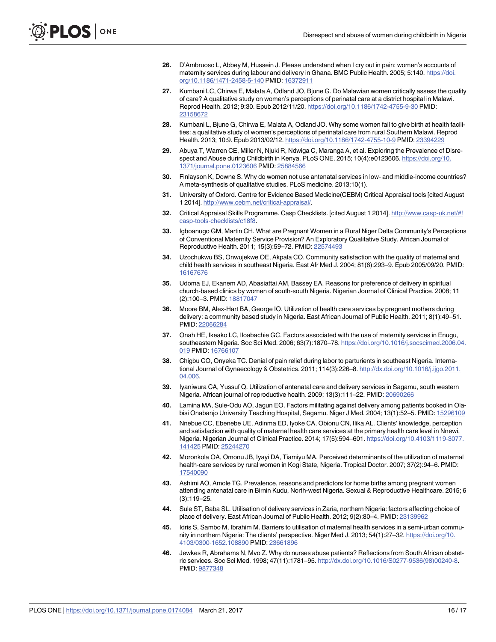- <span id="page-15-0"></span>**26.** D'Ambruoso L, Abbey M, Hussein J. Please understand when I cry out in pain: women's accounts of maternity services during labour and delivery in Ghana. BMC Public Health. 2005; 5:140. [https://doi.](https://doi.org/10.1186/1471-2458-5-140) [org/10.1186/1471-2458-5-140](https://doi.org/10.1186/1471-2458-5-140) PMID: [16372911](http://www.ncbi.nlm.nih.gov/pubmed/16372911)
- **[27](#page-10-0).** Kumbani LC, Chirwa E, Malata A, Odland JO, Bjune G. Do Malawian women critically assess the quality of care? A qualitative study on women's perceptions of perinatal care at a district hospital in Malawi. Reprod Health. 2012; 9:30. Epub 2012/11/20. <https://doi.org/10.1186/1742-4755-9-30> PMID: [23158672](http://www.ncbi.nlm.nih.gov/pubmed/23158672)
- **28.** Kumbani L, Bjune G, Chirwa E, Malata A, Odland JO. Why some women fail to give birth at health facilities: a qualitative study of women's perceptions of perinatal care from rural Southern Malawi. Reprod Health. 2013; 10:9. Epub 2013/02/12. <https://doi.org/10.1186/1742-4755-10-9> PMID: [23394229](http://www.ncbi.nlm.nih.gov/pubmed/23394229)
- **[29](#page-1-0).** Abuya T, Warren CE, Miller N, Njuki R, Ndwiga C, Maranga A, et al. Exploring the Prevalence of Disrespect and Abuse during Childbirth in Kenya. PLoS ONE. 2015; 10(4):e0123606. [https://doi.org/10.](https://doi.org/10.1371/journal.pone.0123606) [1371/journal.pone.0123606](https://doi.org/10.1371/journal.pone.0123606) PMID: [25884566](http://www.ncbi.nlm.nih.gov/pubmed/25884566)
- **[30](#page-2-0).** Finlayson K, Downe S. Why do women not use antenatal services in low- and middle-income countries? A meta-synthesis of qualitative studies. PLoS medicine. 2013;10(1).
- **[31](#page-3-0).** University of Oxford. Centre for Evidence Based Medicine(CEBM) Critical Appraisal tools [cited August 1 2014]. [http://www.cebm.net/critical-appraisal/.](http://www.cebm.net/critical-appraisal/)
- **[32](#page-3-0).** Critical Appraisal Skills Programme. Casp Checklists. [cited August 1 2014]. [http://www.casp-uk.net/#!](http://www.casp-uk.net/#!casp-tools-checklists/c18f8) [casp-tools-checklists/c18f8](http://www.casp-uk.net/#!casp-tools-checklists/c18f8).
- **[33](#page-3-0).** Igboanugo GM, Martin CH. What are Pregnant Women in a Rural Niger Delta Community's Perceptions of Conventional Maternity Service Provision? An Exploratory Qualitative Study. African Journal of Reproductive Health. 2011; 15(3):59–72. PMID: [22574493](http://www.ncbi.nlm.nih.gov/pubmed/22574493)
- **[34](#page-4-0).** Uzochukwu BS, Onwujekwe OE, Akpala CO. Community satisfaction with the quality of maternal and child health services in southeast Nigeria. East Afr Med J. 2004; 81(6):293–9. Epub 2005/09/20. PMID: [16167676](http://www.ncbi.nlm.nih.gov/pubmed/16167676)
- **[35](#page-3-0).** Udoma EJ, Ekanem AD, Abasiattai AM, Bassey EA. Reasons for preference of delivery in spiritual church-based clinics by women of south-south Nigeria. Nigerian Journal of Clinical Practice. 2008; 11 (2):100–3. PMID: [18817047](http://www.ncbi.nlm.nih.gov/pubmed/18817047)
- **[36](#page-3-0).** Moore BM, Alex-Hart BA, George IO. Utilization of health care services by pregnant mothers during delivery: a community based study in Nigeria. East African Journal of Public Health. 2011; 8(1):49–51. PMID: [22066284](http://www.ncbi.nlm.nih.gov/pubmed/22066284)
- **[37](#page-6-0).** Onah HE, Ikeako LC, Iloabachie GC. Factors associated with the use of maternity services in Enugu, southeastern Nigeria. Soc Sci Med. 2006; 63(7):1870–78. [https://doi.org/10.1016/j.socscimed.2006.04.](https://doi.org/10.1016/j.socscimed.2006.04.019) [019](https://doi.org/10.1016/j.socscimed.2006.04.019) PMID: [16766107](http://www.ncbi.nlm.nih.gov/pubmed/16766107)
- **[38](#page-6-0).** Chigbu CO, Onyeka TC. Denial of pain relief during labor to parturients in southeast Nigeria. International Journal of Gynaecology & Obstetrics. 2011; 114(3):226-8. [http://dx.doi.org/10.1016/j.ijgo.2011.](http://dx.doi.org/10.1016/j.ijgo.2011.04.006) [04.006.](http://dx.doi.org/10.1016/j.ijgo.2011.04.006)
- **[39](#page-5-0).** Iyaniwura CA, Yussuf Q. Utilization of antenatal care and delivery services in Sagamu, south western Nigeria. African journal of reproductive health. 2009; 13(3):111–22. PMID: [20690266](http://www.ncbi.nlm.nih.gov/pubmed/20690266)
- **[40](#page-6-0).** Lamina MA, Sule-Odu AO, Jagun EO. Factors militating against delivery among patients booked in Olabisi Onabanjo University Teaching Hospital, Sagamu. Niger J Med. 2004; 13(1):52–5. PMID: [15296109](http://www.ncbi.nlm.nih.gov/pubmed/15296109)
- **[41](#page-3-0).** Nnebue CC, Ebenebe UE, Adinma ED, Iyoke CA, Obionu CN, Ilika AL. Clients' knowledge, perception and satisfaction with quality of maternal health care services at the primary health care level in Nnewi, Nigeria. Nigerian Journal of Clinical Practice. 2014; 17(5):594–601. [https://doi.org/10.4103/1119-3077.](https://doi.org/10.4103/1119-3077.141425) [141425](https://doi.org/10.4103/1119-3077.141425) PMID: [25244270](http://www.ncbi.nlm.nih.gov/pubmed/25244270)
- **[42](#page-3-0).** Moronkola OA, Omonu JB, Iyayi DA, Tiamiyu MA. Perceived determinants of the utilization of maternal health-care services by rural women in Kogi State, Nigeria. Tropical Doctor. 2007; 37(2):94-6. PMID: [17540090](http://www.ncbi.nlm.nih.gov/pubmed/17540090)
- **[43](#page-3-0).** Ashimi AO, Amole TG. Prevalence, reasons and predictors for home births among pregnant women attending antenatal care in Birnin Kudu, North-west Nigeria. Sexual & Reproductive Healthcare. 2015; 6 (3):119–25.
- **[44](#page-3-0).** Sule ST, Baba SL. Utilisation of delivery services in Zaria, northern Nigeria: factors affecting choice of place of delivery. East African Journal of Public Health. 2012; 9(2):80–4. PMID: [23139962](http://www.ncbi.nlm.nih.gov/pubmed/23139962)
- **[45](#page-3-0).** Idris S, Sambo M, Ibrahim M. Barriers to utilisation of maternal health services in a semi-urban community in northern Nigeria: The clients' perspective. Niger Med J. 2013; 54(1):27–32. [https://doi.org/10.](https://doi.org/10.4103/0300-1652.108890) [4103/0300-1652.108890](https://doi.org/10.4103/0300-1652.108890) PMID: [23661896](http://www.ncbi.nlm.nih.gov/pubmed/23661896)
- **[46](#page-9-0).** Jewkes R, Abrahams N, Mvo Z. Why do nurses abuse patients? Reflections from South African obstetric services. Soc Sci Med. 1998; 47(11):1781–95. [http://dx.doi.org/10.1016/S0277-9536\(98\)00240-8](http://dx.doi.org/10.1016/S0277-9536(98)00240-8). PMID: [9877348](http://www.ncbi.nlm.nih.gov/pubmed/9877348)